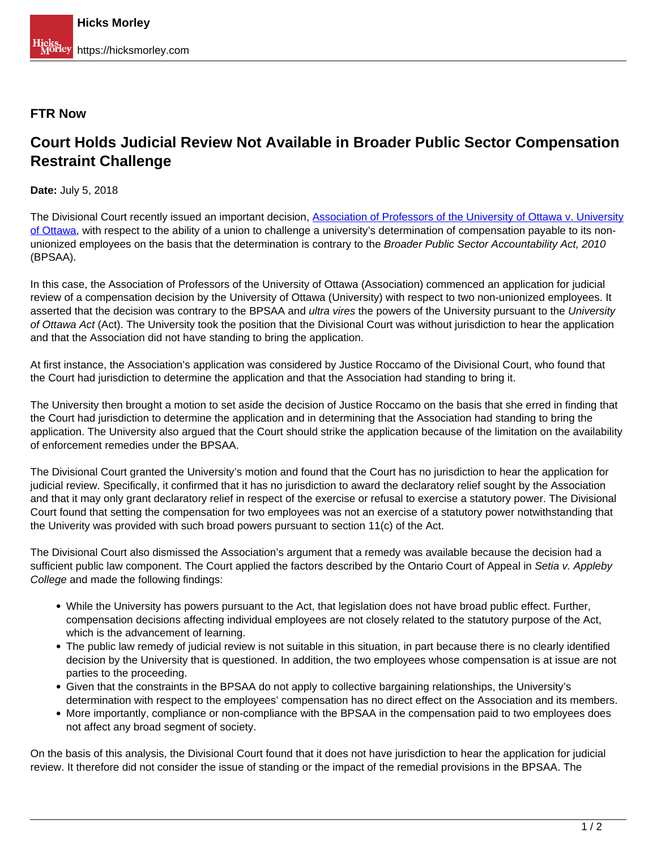## **FTR Now**

## **Court Holds Judicial Review Not Available in Broader Public Sector Compensation Restraint Challenge**

**Date:** July 5, 2018

The Divisional Court recently issued an important decision, [Association of Professors of the University of Ottawa v. University](https://www.canlii.org/en/on/onscdc/doc/2018/2018onsc1191/2018onsc1191.html) [of Ottawa](https://www.canlii.org/en/on/onscdc/doc/2018/2018onsc1191/2018onsc1191.html), with respect to the ability of a union to challenge a university's determination of compensation payable to its nonunionized employees on the basis that the determination is contrary to the Broader Public Sector Accountability Act, 2010 (BPSAA).

In this case, the Association of Professors of the University of Ottawa (Association) commenced an application for judicial review of a compensation decision by the University of Ottawa (University) with respect to two non-unionized employees. It asserted that the decision was contrary to the BPSAA and *ultra vires* the powers of the University pursuant to the University of Ottawa Act (Act). The University took the position that the Divisional Court was without jurisdiction to hear the application and that the Association did not have standing to bring the application.

At first instance, the Association's application was considered by Justice Roccamo of the Divisional Court, who found that the Court had jurisdiction to determine the application and that the Association had standing to bring it.

The University then brought a motion to set aside the decision of Justice Roccamo on the basis that she erred in finding that the Court had jurisdiction to determine the application and in determining that the Association had standing to bring the application. The University also argued that the Court should strike the application because of the limitation on the availability of enforcement remedies under the BPSAA.

The Divisional Court granted the University's motion and found that the Court has no jurisdiction to hear the application for judicial review. Specifically, it confirmed that it has no jurisdiction to award the declaratory relief sought by the Association and that it may only grant declaratory relief in respect of the exercise or refusal to exercise a statutory power. The Divisional Court found that setting the compensation for two employees was not an exercise of a statutory power notwithstanding that the Univerity was provided with such broad powers pursuant to section 11(c) of the Act.

The Divisional Court also dismissed the Association's argument that a remedy was available because the decision had a sufficient public law component. The Court applied the factors described by the Ontario Court of Appeal in Setia v. Appleby College and made the following findings:

- While the University has powers pursuant to the Act, that legislation does not have broad public effect. Further, compensation decisions affecting individual employees are not closely related to the statutory purpose of the Act, which is the advancement of learning.
- The public law remedy of judicial review is not suitable in this situation, in part because there is no clearly identified decision by the University that is questioned. In addition, the two employees whose compensation is at issue are not parties to the proceeding.
- Given that the constraints in the BPSAA do not apply to collective bargaining relationships, the University's determination with respect to the employees' compensation has no direct effect on the Association and its members.
- More importantly, compliance or non-compliance with the BPSAA in the compensation paid to two employees does not affect any broad segment of society.

On the basis of this analysis, the Divisional Court found that it does not have jurisdiction to hear the application for judicial review. It therefore did not consider the issue of standing or the impact of the remedial provisions in the BPSAA. The